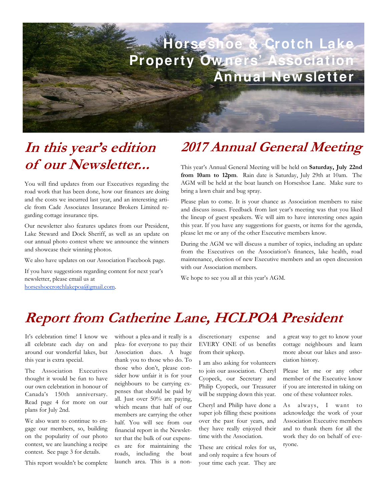

## **In this year's edition of our Newsletter...**

You will find updates from our Executives regarding the road work that has been done, how our finances are doing and the costs we incurred last year, and an interesting article from Cade Associates Insurance Brokers Limited regarding cottage insurance tips.

Our newsletter also features updates from our President, Lake Steward and Dock Sheriff, as well as an update on our annual photo contest where we announce the winners and showcase their winning photos.

We also have updates on our Association Facebook page.

If you have suggestions regarding content for next year's newsletter, please email us at horseshoecrotchlakepoa@gmail.com.

## **2017 Annual General Meeting**

This year's Annual General Meeting will be held on **Saturday, July 22nd from 10am to 12pm**. Rain date is Saturday, July 29th at 10am. The AGM will be held at the boat launch on Horseshoe Lane. Make sure to bring a lawn chair and bug spray.

Please plan to come. It is your chance as Association members to raise and discuss issues. Feedback from last year's meeting was that you liked the lineup of guest speakers. We will aim to have interesting ones again this year. If you have any suggestions for guests, or items for the agenda, please let me or any of the other Executive members know.

During the AGM we will discuss a number of topics, including an update from the Executives on the Association's finances, lake health, road maintenance, election of new Executive members and an open discussion with our Association members.

We hope to see you all at this year's AGM.

## **Report from Catherine Lane, HCLPOA President**

It's celebration time! I know we all celebrate each day on and around our wonderful lakes, but this year is extra special.

The Association Executives thought it would be fun to have our own celebration in honour of Canada's 150th anniversary. Read page 4 for more on our plans for July 2nd.

We also want to continue to engage our members, so, building on the popularity of our photo contest, we are launching a recipe contest. See page 3 for details.

This report wouldn't be complete

without a plea-and it really is a plea- for everyone to pay their Association dues. A huge thank you to those who do. To those who don't, please consider how unfair it is for your neighbours to be carrying expenses that should be paid by all. Just over 50% are paying, which means that half of our members are carrying the other half. You will see from our financial report in the Newsletter that the bulk of our expenses are for maintaining the roads, including the boat launch area. This is a non-

discretionary expense and EVERY ONE of us benefits from their upkeep.

I am also asking for volunteers to join our association. Cheryl Cyopeck, our Secretary and Philip Cyopeck, our Treasurer will be stepping down this year.

Cheryl and Philip have done a super job filling these positions over the past four years, and they have really enjoyed their time with the Association.

These are critical roles for us, and only require a few hours of your time each year. They are a great way to get to know your cottage neighbours and learn more about our lakes and association history.

Please let me or any other member of the Executive know if you are interested in taking on one of these volunteer roles.

As always, I want to acknowledge the work of your Association Executive members and to thank them for all the work they do on behalf of everyone.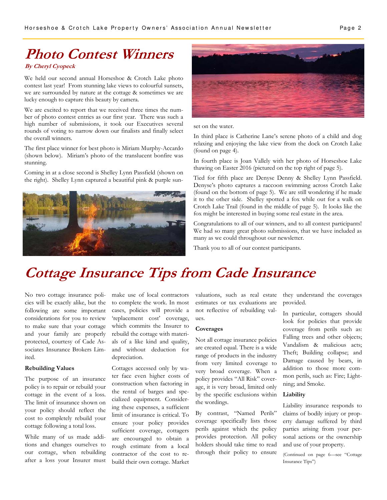# **Photo Contest Winners**

#### **By Cheryl Cyopeck**

We held our second annual Horseshoe & Crotch Lake photo contest last year! From stunning lake views to colourful sunsets, we are surrounded by nature at the cottage & sometimes we are lucky enough to capture this beauty by camera.

We are excited to report that we received three times the number of photo contest entries as our first year. There was such a high number of submissions, it took our Executives several rounds of voting to narrow down our finalists and finally select the overall winners.

The first place winner for best photo is Miriam Murphy-Accardo (shown below). Miriam's photo of the translucent bonfire was stunning.

Coming in at a close second is Shelley Lynn Passfield (shown on the right). Shelley Lynn captured a beautiful pink & purple sun-





set on the water.

In third place is Catherine Lane's serene photo of a child and dog relaxing and enjoying the lake view from the dock on Crotch Lake (found on page 4).

In fourth place is Joan Vallely with her photo of Horseshoe Lake thawing on Easter 2016 (pictured on the top right of page 5).

Tied for fifth place are Denyse Denny & Shelley Lynn Passfield. Denyse's photo captures a raccoon swimming across Crotch Lake (found on the bottom of page 5). We are still wondering if he made it to the other side. Shelley spotted a fox while out for a walk on Crotch Lake Trail (found in the middle of page 5). It looks like the fox might be interested in buying some real estate in the area.

Congratulations to all of our winners, and to all contest participants! We had so many great photo submissions, that we have included as many as we could throughout our newsletter.

Thank you to all of our contest participants.

### **Cottage Insurance Tips from Cade Insurance**

No two cottage insurance policies will be exactly alike, but the following are some important considerations for you to review to make sure that your cottage and your family are properly protected, courtesy of Cade Associates Insurance Brokers Limited.

#### **Rebuilding Values**

The purpose of an insurance policy is to repair or rebuild your cottage in the event of a loss. The limit of insurance shown on your policy should reflect the cost to completely rebuild your cottage following a total loss.

While many of us made additions and changes ourselves to our cottage, when rebuilding after a loss your Insurer must make use of local contractors to complete the work. In most cases, policies will provide a 'replacement cost' coverage, which commits the Insurer to rebuild the cottage with materials of a like kind and quality, and without deduction for depreciation.

Cottages accessed only by water face even higher costs of construction when factoring in the rental of barges and specialized equipment. Considering these expenses, a sufficient limit of insurance is critical. To ensure your policy provides sufficient coverage, cottagers are encouraged to obtain a rough estimate from a local contractor of the cost to rebuild their own cottage. Market

valuations, such as real estate estimates or tax evaluations are not reflective of rebuilding values.

#### **Coverages**

Not all cottage insurance policies are created equal. There is a wide range of products in the industry from very limited coverage to very broad coverage. When a policy provides "All Risk" coverage, it is very broad, limited only by the specific exclusions within the wordings.

By contrast, "Named Perils" coverage specifically lists those perils against which the policy provides protection. All policy holders should take time to read through their policy to ensure they understand the coverages provided.

In particular, cottagers should look for policies that provide coverage from perils such as: Falling trees and other objects; Vandalism & malicious acts; Theft; Building collapse; and Damage caused by bears, in addition to those more common perils, such as: Fire; Lightning; and Smoke.

#### **Liability**

Liability insurance responds to claims of bodily injury or property damage suffered by third parties arising from your personal actions or the ownership and use of your property.

(Continued on page 6—see "Cottage Insurance Tips")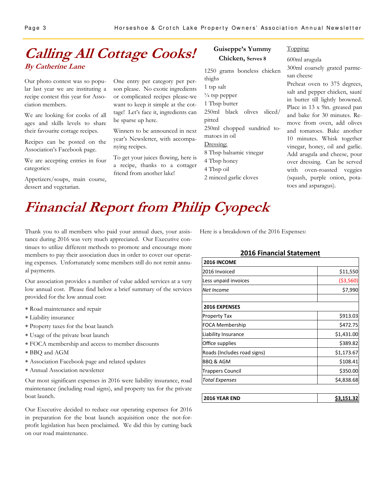### **Calling All Cottage Cooks! By Catherine Lane**

Our photo contest was so popular last year we are instituting a recipe contest this year for Association members.

We are looking for cooks of all ages and skills levels to share their favourite cottage recipes.

Recipes can be posted on the Association's Facebook page.

We are accepting entries in four categories:

Appetizers/soups, main course, dessert and vegetarian.

One entry per category per person please. No exotic ingredients or complicated recipes please-we want to keep it simple at the cottage! Let's face it, ingredients can be sparse up here.

Winners to be announced in next year's Newsletter, with accompanying recipes.

To get your juices flowing, here is a recipe, thanks to a cottager friend from another lake!

#### **Guiseppe's Yummy Chicken, Serves 8**

1250 grams boneless chicken thighs 1 tsp salt  $\frac{1}{4}$  tsp pepper 1 Tbsp butter 250ml black olives sliced/ pitted 250ml chopped sundried tomatoes in oil Dressing: 8 Tbsp balsamic vinegar 4 Tbsp honey 4 Tbsp oil 2 minced garlic cloves

### 600ml arugula

Topping:

300ml coarsely grated parmesan cheese

Preheat oven to 375 degrees, salt and pepper chicken, sauté in butter till lightly browned. Place in 13 x 9in. greased pan and bake for 30 minutes. Remove from oven, add olives and tomatoes. Bake another 10 minutes. Whisk together vinegar, honey, oil and garlic. Add arugula and cheese, pour over dressing. Can be served with oven-roasted veggies (squash, purple onion, potatoes and asparagus).

# **Financial Report from Philip Cyopeck**

Thank you to all members who paid your annual dues, your assistance during 2016 was very much appreciated. Our Executive continues to utilize different methods to promote and encourage more members to pay their association dues in order to cover our operating expenses. Unfortunately some members still do not remit annual payments.

Our association provides a number of value added services at a very low annual cost. Please find below a brief summary of the services provided for the low annual cost:

- Road maintenance and repair
- Liability insurance
- Property taxes for the boat launch
- Usage of the private boat launch
- FOCA membership and access to member discounts
- BBQ and AGM
- Association Facebook page and related updates
- Annual Association newsletter

Our most significant expenses in 2016 were liability insurance, road maintenance (including road signs), and property tax for the private boat launch.

Our Executive decided to reduce our operating expenses for 2016 in preparation for the boat launch acquisition once the not-forprofit legislation has been proclaimed. We did this by cutting back on our road maintenance.

Here is a breakdown of the 2016 Expenses:

#### **2016 Financial Statement**

| <b>2016 INCOME</b>          |            |
|-----------------------------|------------|
| 2016 Invoiced               | \$11,550   |
| Less unpaid invoices        | ( \$3,560  |
| Net Income                  | \$7,990    |
|                             |            |
| <b>2016 EXPENSES</b>        |            |
| <b>Property Tax</b>         | \$913.03   |
| FOCA Membership             | \$472.75   |
| Liability Insurance         | \$1,431.00 |
| Office supplies             | \$389.82   |
| Roads (Includes road signs) | \$1,173.67 |
| BBQ & AGM                   | \$108.41   |
| Trappers Council            | \$350.00   |
| Total Expenses              | \$4,838.68 |

| 2016 YEAR END | \$3.151.32 |
|---------------|------------|
|---------------|------------|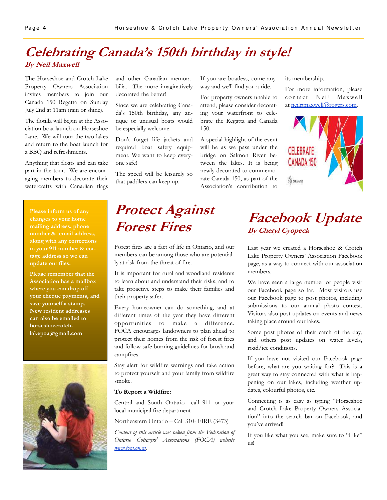### **Celebrating Canada's 150th birthday in style! By Neil Maxwell**

The Horseshoe and Crotch Lake Property Owners Association invites members to join our Canada 150 Regatta on Sunday July 2nd at 11am (rain or shine).

The flotilla will begin at the Association boat launch on Horseshoe Lane. We will tour the two lakes and return to the boat launch for a BBQ and refreshments.

Anything that floats and can take part in the tour. We are encouraging members to decorate their watercrafts with Canadian flags

**Please inform us of any changes to your home mailing address, phone number & email address, along with any corrections to your 911 number & cottage address so we can update our files.** 

**Please remember that the Association has a mailbox where you can drop off your cheque payments, and save yourself a stamp. New resident addresses can also be emailed to horseshoecrotchlakepoa@gmail.com** 



and other Canadian memorabilia. The more imaginatively decorated the better!

Since we are celebrating Canada's 150th birthday, any antique or unusual boats would be especially welcome.

Don't forget life jackets and required boat safety equipment. We want to keep everyone safe!

The speed will be leisurely so that paddlers can keep up.

If you are boatless, come anyway and we'll find you a ride.

For property owners unable to attend, please consider decorating your waterfront to celebrate the Regatta and Canada 150.

A special highlight of the event will be as we pass under the bridge on Salmon River between the lakes. It is being newly decorated to commemorate Canada 150, as part of the Association's contribution to

its membership.

For more information, please contact Neil Maxwell at neilrjmaxwell@rogers.com.



### **Protect Against Forest Fires**

Forest fires are a fact of life in Ontario, and our members can be among those who are potentially at risk from the threat of fire.

It is important for rural and woodland residents to learn about and understand their risks, and to take proactive steps to make their families and their property safer.

Every homeowner can do something, and at different times of the year they have different opportunities to make a difference. FOCA encourages landowners to plan ahead to protect their homes from the risk of forest fires and follow safe burning guidelines for brush and campfires.

Stay alert for wildfire warnings and take action to protect yourself and your family from wildfire smoke.

#### **To Report a Wildfire:**

Central and South Ontario– call 911 or your local municipal fire department

Northeastern Ontario – Call 310- FIRE (3473)

*Content of this article was taken from the Federation of Ontario Cottagers' Associations (FOCA) website www.foca.on.ca.* 

### **Facebook Update By Cheryl Cyopeck**

Last year we created a Horseshoe & Crotch Lake Property Owners' Association Facebook page, as a way to connect with our association members.

We have seen a large number of people visit our Facebook page so far. Most visitors use our Facebook page to post photos, including submissions to our annual photo contest. Visitors also post updates on events and news taking place around our lakes.

Some post photos of their catch of the day, and others post updates on water levels, road/ice conditions.

If you have not visited our Facebook page before, what are you waiting for? This is a great way to stay connected with what is happening on our lakes, including weather updates, colourful photos, etc.

Connecting is as easy as typing "Horseshoe and Crotch Lake Property Owners Association" into the search bar on Facebook, and you've arrived!

If you like what you see, make sure to "Like" us!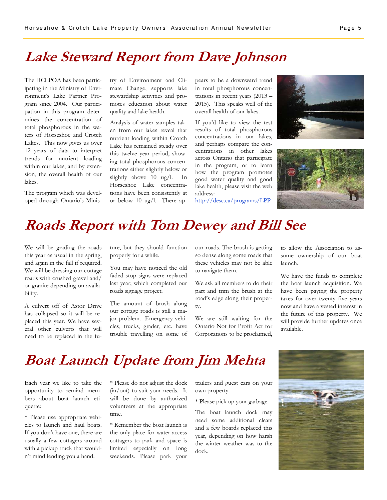### **Lake Steward Report from Dave Johnson**

The HCLPOA has been participating in the Ministry of Environment's Lake Partner Program since 2004. Our participation in this program determines the concentration of total phosphorous in the waters of Horseshoe and Crotch Lakes. This now gives us over 12 years of data to interpret trends for nutrient loading within our lakes, and by extension, the overall health of our lakes.

The program which was developed through Ontario's Ministry of Environment and Climate Change, supports lake stewardship activities and promotes education about water quality and lake health.

Analysis of water samples taken from our lakes reveal that nutrient loading within Crotch Lake has remained steady over this twelve year period, showing total phosphorous concentrations either slightly below or slightly above 10 ug/l. In Horseshoe Lake concentrations have been consistently at or below 10 ug/l. There appears to be a downward trend in total phosphorous concentrations in recent years (2013 – 2015). This speaks well of the overall health of our lakes.

If you'd like to view the test results of total phosphorous concentrations in our lakes, and perhaps compare the concentrations in other lakes across Ontario that participate in the program, or to learn how the program promotes good water quality and good lake health, please visit the web address:

http://desc.ca/programs/LPP





# **Roads Report with Tom Dewey and Bill See**

We will be grading the roads this year as usual in the spring, and again in the fall if required. We will be dressing our cottage roads with crushed gravel and/ or granite depending on availability.

A culvert off of Astor Drive has collapsed so it will be replaced this year. We have several other culverts that will need to be replaced in the future, but they should function properly for a while.

You may have noticed the old faded stop signs were replaced last year; which completed our roads signage project.

The amount of brush along our cottage roads is still a major problem. Emergency vehicles, trucks, grader, etc. have trouble travelling on some of our roads. The brush is getting so dense along some roads that these vehicles may not be able to navigate them.

We ask all members to do their part and trim the brush at the road's edge along their property.

We are still waiting for the Ontario Not for Profit Act for Corporations to be proclaimed,

to allow the Association to assume ownership of our boat launch.

We have the funds to complete the boat launch acquisition. We have been paying the property taxes for over twenty five years now and have a vested interest in the future of this property. We will provide further updates once available.

### **Boat Launch Update from Jim Mehta**

Each year we like to take the opportunity to remind members about boat launch etiquette:

\* Please use appropriate vehicles to launch and haul boats. If you don't have one, there are usually a few cottagers around with a pickup truck that wouldn't mind lending you a hand.

\* Please do not adjust the dock (in/out) to suit your needs. It will be done by authorized volunteers at the appropriate time.

\* Remember the boat launch is the only place for water-access cottagers to park and space is limited especially on long weekends. Please park your trailers and guest cars on your own property.

\* Please pick up your garbage.

The boat launch dock may need some additional cleats and a few boards replaced this year, depending on how harsh the winter weather was to the dock.